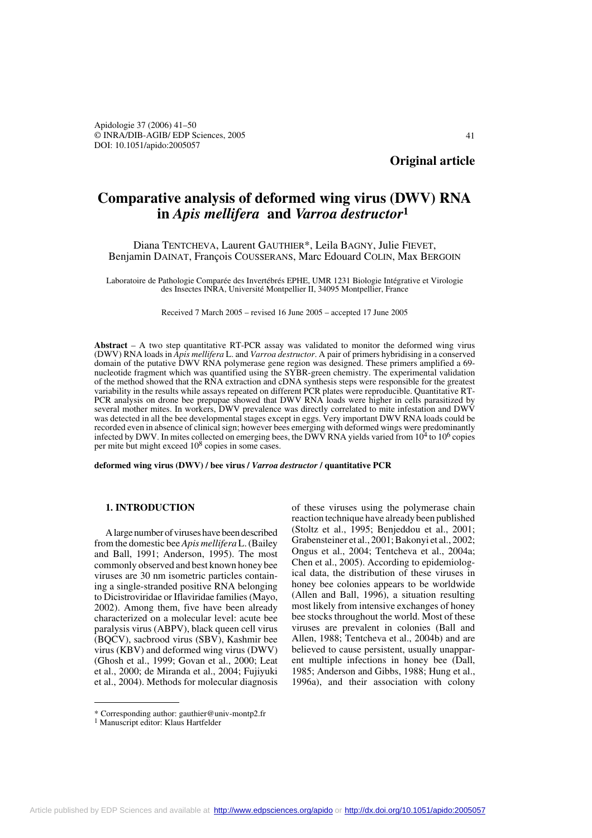# **Comparative analysis of deformed wing virus (DWV) RNA in** *Apis mellifera* **and** *Varroa destructor***<sup>1</sup>**

# Diana TENTCHEVA, Laurent GAUTHIER\*, Leila BAGNY, Julie FIEVET, Benjamin DAINAT, François COUSSERANS, Marc Edouard COLIN, Max BERGOIN

Laboratoire de Pathologie Comparée des Invertébrés EPHE, UMR 1231 Biologie Intégrative et Virologie des Insectes INRA, Université Montpellier II, 34095 Montpellier, France

Received 7 March 2005 – revised 16 June 2005 – accepted 17 June 2005

**Abstract** – A two step quantitative RT-PCR assay was validated to monitor the deformed wing virus (DWV) RNA loads in *Apis mellifera* L. and *Varroa destructor*. A pair of primers hybridising in a conserved domain of the putative DWV RNA polymerase gene region was designed. These primers amplified a 69nucleotide fragment which was quantified using the SYBR-green chemistry. The experimental validation of the method showed that the RNA extraction and cDNA synthesis steps were responsible for the greatest variability in the results while assays repeated on different PCR plates were reproducible. Quantitative RT-PCR analysis on drone bee prepupae showed that DWV RNA loads were higher in cells parasitized by several mother mites. In workers, DWV prevalence was directly correlated to mite infestation and DWV was detected in all the bee developmental stages except in eggs. Very important DWV RNA loads could be recorded even in absence of clinical sign; however bees emerging with deformed wings were predominantly infected by DWV. In mites collected on emerging bees, the DWV RNA yields varied from 10<sup>4</sup> to 10<sup>6</sup> copies per mite but might exceed 108 copies in some cases.

**deformed wing virus (DWV) / bee virus /** *Varroa destructor* **/ quantitative PCR**

## **1. INTRODUCTION**

A large number of viruses have been described from the domestic bee *Apis mellifera* L. (Bailey and Ball, 1991; Anderson, 1995). The most commonly observed and best known honey bee viruses are 30 nm isometric particles containing a single-stranded positive RNA belonging to Dicistroviridae or Iflaviridae families (Mayo, 2002). Among them, five have been already characterized on a molecular level: acute bee paralysis virus (ABPV), black queen cell virus (BQCV), sacbrood virus (SBV), Kashmir bee virus (KBV) and deformed wing virus (DWV) (Ghosh et al., 1999; Govan et al., 2000; Leat et al., 2000; de Miranda et al., 2004; Fujiyuki et al., 2004). Methods for molecular diagnosis

of these viruses using the polymerase chain reaction technique have already been published (Stoltz et al., 1995; Benjeddou et al., 2001; Grabensteiner et al., 2001; Bakonyi et al., 2002; Ongus et al., 2004; Tentcheva et al., 2004a; Chen et al., 2005). According to epidemiological data, the distribution of these viruses in honey bee colonies appears to be worldwide (Allen and Ball, 1996), a situation resulting most likely from intensive exchanges of honey bee stocks throughout the world. Most of these viruses are prevalent in colonies (Ball and Allen, 1988; Tentcheva et al., 2004b) and are believed to cause persistent, usually unapparent multiple infections in honey bee (Dall, 1985; Anderson and Gibbs, 1988; Hung et al., 1996a), and their association with colony

<sup>\*</sup> Corresponding author: gauthier@univ-montp2.fr  $1$  Manuscript editor: Klaus Hartfelder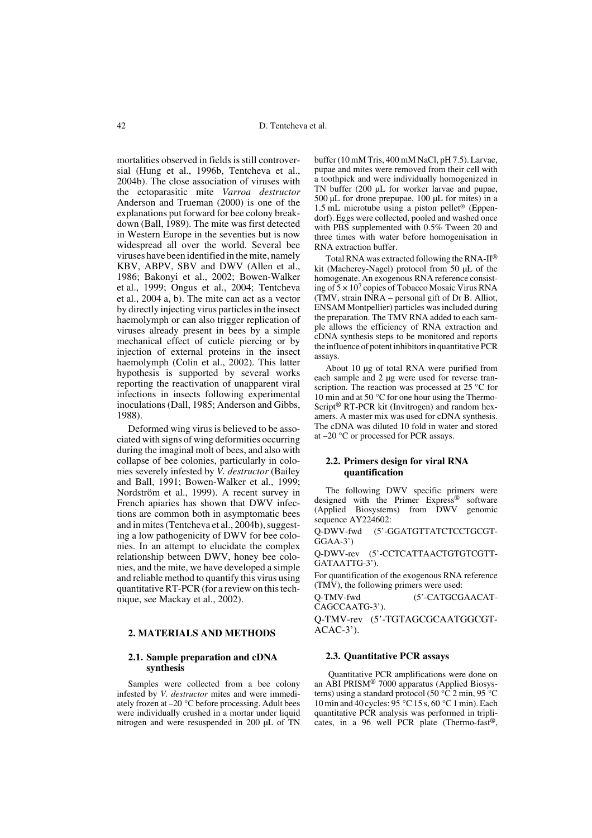mortalities observed in fields is still controversial (Hung et al., 1996b, Tentcheva et al., 2004b). The close association of viruses with the ectoparasitic mite *Varroa destructor* Anderson and Trueman (2000) is one of the explanations put forward for bee colony breakdown (Ball, 1989). The mite was first detected in Western Europe in the seventies but is now widespread all over the world. Several bee viruses have been identified in the mite, namely KBV, ABPV, SBV and DWV (Allen et al., 1986; Bakonyi et al., 2002; Bowen-Walker et al., 1999; Ongus et al., 2004; Tentcheva et al., 2004 a, b). The mite can act as a vector by directly injecting virus particles in the insect haemolymph or can also trigger replication of viruses already present in bees by a simple mechanical effect of cuticle piercing or by injection of external proteins in the insect haemolymph (Colin et al., 2002). This latter hypothesis is supported by several works reporting the reactivation of unapparent viral infections in insects following experimental inoculations (Dall, 1985; Anderson and Gibbs, 1988).

Deformed wing virus is believed to be associated with signs of wing deformities occurring during the imaginal molt of bees, and also with collapse of bee colonies, particularly in colonies severely infested by *V. destructor* (Bailey and Ball, 1991; Bowen-Walker et al., 1999; Nordström et al., 1999). A recent survey in French apiaries has shown that DWV infections are common both in asymptomatic bees and in mites (Tentcheva et al., 2004b), suggesting a low pathogenicity of DWV for bee colonies. In an attempt to elucidate the complex relationship between DWV, honey bee colonies, and the mite, we have developed a simple and reliable method to quantify this virus using quantitative RT-PCR (for a review on this technique, see Mackay et al., 2002).

### **2. MATERIALS AND METHODS**

# **2.1. Sample preparation and cDNA synthesis**

Samples were collected from a bee colony infested by *V. destructor* mites and were immediately frozen at –20 °C before processing. Adult bees were individually crushed in a mortar under liquid nitrogen and were resuspended in 200 µL of TN buffer (10 mM Tris, 400 mM NaCl, pH 7.5). Larvae, pupae and mites were removed from their cell with a toothpick and were individually homogenized in TN buffer (200 µL for worker larvae and pupae, 500 µL for drone prepupae, 100 µL for mites) in a 1.5 mL microtube using a piston pellet® (Eppendorf). Eggs were collected, pooled and washed once with PBS supplemented with 0.5% Tween 20 and three times with water before homogenisation in RNA extraction buffer.

Total RNA was extracted following the RNA-II® kit (Macherey-Nagel) protocol from 50 µL of the homogenate. An exogenous RNA reference consisting of  $5 \times 10^7$  copies of Tobacco Mosaic Virus RNA (TMV, strain INRA – personal gift of Dr B. Alliot, ENSAM Montpellier) particles was included during the preparation. The TMV RNA added to each sample allows the efficiency of RNA extraction and cDNA synthesis steps to be monitored and reports the influence of potent inhibitors in quantitative PCR assays.

About 10 µg of total RNA were purified from each sample and 2 µg were used for reverse transcription. The reaction was processed at 25 °C for 10 min and at 50 °C for one hour using the Thermo-Script® RT-PCR kit (Invitrogen) and random hexamers. A master mix was used for cDNA synthesis. The cDNA was diluted 10 fold in water and stored at –20 °C or processed for PCR assays.

# **2.2. Primers design for viral RNA quantification**

The following DWV specific primers were designed with the Primer Express® software (Applied Biosystems) from DWV genomic sequence AY224602:

Q-DWV-fwd (5'-GGATGTTATCTCCTGCGT-GGAA-3')

Q-DWV-rev (5'-CCTCATTAACTGTGTCGTT-GATAATTG-3').

For quantification of the exogenous RNA reference (TMV), the following primers were used:

Q-TMV-fwd (5'-CATGCGAACAT-CAGCCAATG-3').

Q-TMV-rev (5'-TGTAGCGCAATGGCGT-ACAC-3').

## **2.3. Quantitative PCR assays**

 Quantitative PCR amplifications were done on an ABI PRISM® 7000 apparatus (Applied Biosystems) using a standard protocol (50 $\degree$ C 2 min, 95 $\degree$ C 10 min and 40 cycles: 95 °C 15 s, 60 °C 1 min). Each quantitative PCR analysis was performed in triplicates, in a 96 well PCR plate (Thermo-fast®,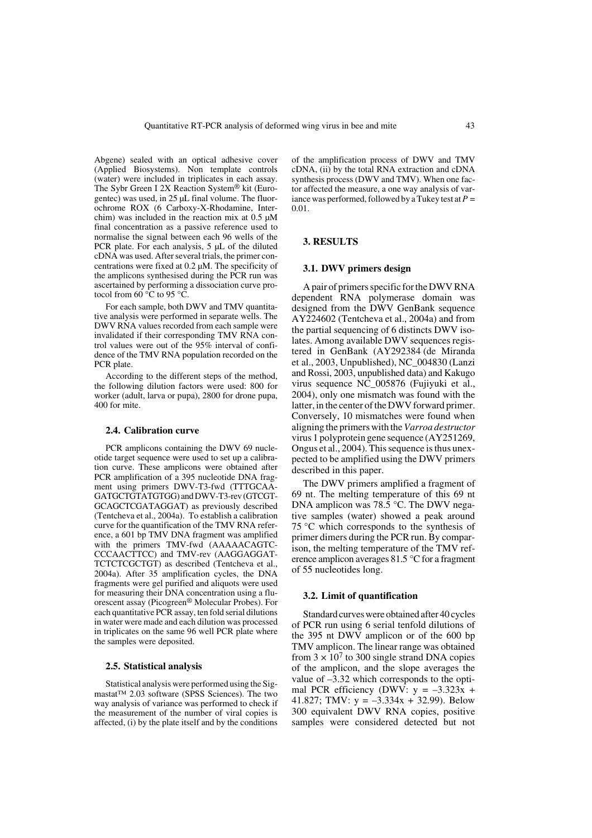Abgene) sealed with an optical adhesive cover (Applied Biosystems). Non template controls (water) were included in triplicates in each assay. The Sybr Green I 2X Reaction System® kit (Eurogentec) was used, in 25 µL final volume. The fluorochrome ROX (6 Carboxy-X-Rhodamine, Interchim) was included in the reaction mix at  $0.5 \mu M$ final concentration as a passive reference used to normalise the signal between each 96 wells of the PCR plate. For each analysis, 5 µL of the diluted cDNA was used. After several trials, the primer concentrations were fixed at 0.2 µM. The specificity of the amplicons synthesised during the PCR run was ascertained by performing a dissociation curve protocol from  $60^{\circ}$ C to 95 °C.

For each sample, both DWV and TMV quantitative analysis were performed in separate wells. The DWV RNA values recorded from each sample were invalidated if their corresponding TMV RNA control values were out of the 95% interval of confidence of the TMV RNA population recorded on the PCR plate.

According to the different steps of the method, the following dilution factors were used: 800 for worker (adult, larva or pupa), 2800 for drone pupa, 400 for mite.

#### **2.4. Calibration curve**

PCR amplicons containing the DWV 69 nucleotide target sequence were used to set up a calibration curve. These amplicons were obtained after PCR amplification of a 395 nucleotide DNA fragment using primers DWV-T3-fwd (TTTGCAA-GATGCTGTATGTGG) and DWV-T3-rev (GTCGT-GCAGCTCGATAGGAT) as previously described (Tentcheva et al., 2004a). To establish a calibration curve for the quantification of the TMV RNA reference, a 601 bp TMV DNA fragment was amplified with the primers TMV-fwd (AAAAACAGTC-CCCAACTTCC) and TMV-rev (AAGGAGGAT-TCTCTCGCTGT) as described (Tentcheva et al., 2004a). After 35 amplification cycles, the DNA fragments were gel purified and aliquots were used for measuring their DNA concentration using a fluorescent assay (Picogreen® Molecular Probes). For each quantitative PCR assay, ten fold serial dilutions in water were made and each dilution was processed in triplicates on the same 96 well PCR plate where the samples were deposited.

#### **2.5. Statistical analysis**

Statistical analysis were performed using the Sigmastat™ 2.03 software (SPSS Sciences). The two way analysis of variance was performed to check if the measurement of the number of viral copies is affected, (i) by the plate itself and by the conditions

of the amplification process of DWV and TMV cDNA, (ii) by the total RNA extraction and cDNA synthesis process (DWV and TMV). When one factor affected the measure, a one way analysis of variance was performed, followed by a Tukey test at  $P =$ 0.01.

#### **3. RESULTS**

## **3.1. DWV primers design**

A pair of primers specific for the DWV RNA dependent RNA polymerase domain was designed from the DWV GenBank sequence AY224602 (Tentcheva et al., 2004a) and from the partial sequencing of 6 distincts DWV isolates. Among available DWV sequences registered in GenBank (AY292384 (de Miranda et al., 2003, Unpublished), NC\_004830 (Lanzi and Rossi, 2003, unpublished data) and Kakugo virus sequence NC\_005876 (Fujiyuki et al., 2004), only one mismatch was found with the latter, in the center of the DWV forward primer. Conversely, 10 mismatches were found when aligning the primers with the *Varroa destructor* virus 1 polyprotein gene sequence (AY251269, Ongus et al., 2004). This sequence is thus unexpected to be amplified using the DWV primers described in this paper.

The DWV primers amplified a fragment of 69 nt. The melting temperature of this 69 nt DNA amplicon was 78.5 °C. The DWV negative samples (water) showed a peak around 75 °C which corresponds to the synthesis of primer dimers during the PCR run. By comparison, the melting temperature of the TMV reference amplicon averages 81.5 °C for a fragment of 55 nucleotides long.

## **3.2. Limit of quantification**

Standard curves were obtained after 40 cycles of PCR run using 6 serial tenfold dilutions of the 395 nt DWV amplicon or of the 600 bp TMV amplicon. The linear range was obtained from  $3 \times 10^7$  to 300 single strand DNA copies of the amplicon, and the slope averages the value of –3.32 which corresponds to the optimal PCR efficiency (DWV:  $y = -3.323x$  + 41.827; TMV:  $y = -3.334x + 32.99$ ). Below 300 equivalent DWV RNA copies, positive samples were considered detected but not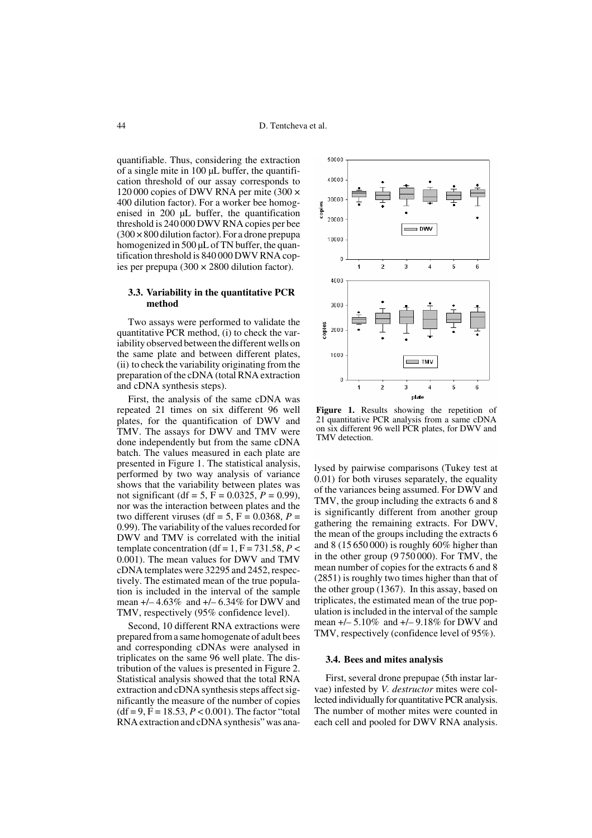quantifiable. Thus, considering the extraction of a single mite in  $100 \mu L$  buffer, the quantification threshold of our assay corresponds to 120 000 copies of DWV RNA per mite (300 × 400 dilution factor). For a worker bee homogenised in 200 µL buffer, the quantification threshold is 240 000 DWV RNA copies per bee  $(300 \times 800)$  dilution factor). For a drone prepupa homogenized in 500 µL of TN buffer, the quantification threshold is 840 000 DWV RNA copies per prepupa (300  $\times$  2800 dilution factor).

## **3.3. Variability in the quantitative PCR method**

Two assays were performed to validate the quantitative PCR method, (i) to check the variability observed between the different wells on the same plate and between different plates, (ii) to check the variability originating from the preparation of the cDNA (total RNA extraction and cDNA synthesis steps).

First, the analysis of the same cDNA was repeated 21 times on six different 96 well plates, for the quantification of DWV and TMV. The assays for DWV and TMV were done independently but from the same cDNA batch. The values measured in each plate are presented in Figure 1. The statistical analysis, performed by two way analysis of variance shows that the variability between plates was not significant (df = 5,  $\vec{F}$  = 0.0325,  $\vec{P}$  = 0.99), nor was the interaction between plates and the two different viruses (df = 5,  $F = 0.0368$ ,  $P =$ 0.99). The variability of the values recorded for DWV and TMV is correlated with the initial template concentration (df = 1,  $F = 731.58$ ,  $P <$ 0.001). The mean values for DWV and TMV cDNA templates were 32295 and 2452, respectively. The estimated mean of the true population is included in the interval of the sample mean  $+/- 4.63\%$  and  $+/- 6.34\%$  for DWV and TMV, respectively (95% confidence level).

Second, 10 different RNA extractions were prepared from a same homogenate of adult bees and corresponding cDNAs were analysed in triplicates on the same 96 well plate. The distribution of the values is presented in Figure 2. Statistical analysis showed that the total RNA extraction and cDNA synthesis steps affect significantly the measure of the number of copies  $(df = 9, F = 18.53, P < 0.001)$ . The factor "total RNA extraction and cDNA synthesis" was ana-



**Figure 1.** Results showing the repetition of 21 quantitative PCR analysis from a same cDNA on six different 96 well PCR plates, for DWV and TMV detection.

lysed by pairwise comparisons (Tukey test at 0.01) for both viruses separately, the equality of the variances being assumed. For DWV and TMV, the group including the extracts 6 and 8 is significantly different from another group gathering the remaining extracts. For DWV, the mean of the groups including the extracts 6 and 8 (15 650 000) is roughly 60% higher than in the other group (9 750 000). For TMV, the mean number of copies for the extracts 6 and 8 (2851) is roughly two times higher than that of the other group (1367). In this assay, based on triplicates, the estimated mean of the true population is included in the interval of the sample mean +/– 5.10% and +/– 9.18% for DWV and TMV, respectively (confidence level of 95%).

## **3.4. Bees and mites analysis**

First, several drone prepupae (5th instar larvae) infested by *V. destructor* mites were collected individually for quantitative PCR analysis. The number of mother mites were counted in each cell and pooled for DWV RNA analysis.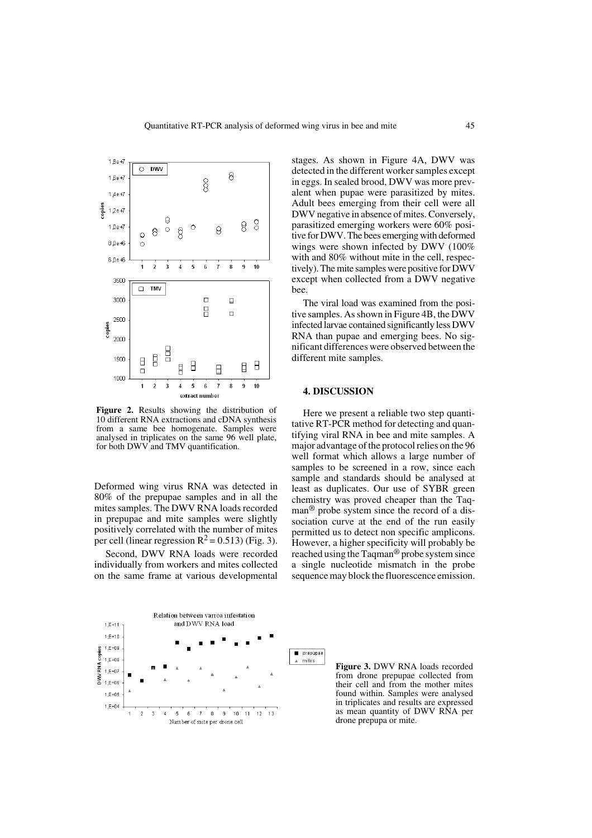

**Figure 2.** Results showing the distribution of 10 different RNA extractions and cDNA synthesis from a same bee homogenate. Samples were analysed in triplicates on the same 96 well plate, for both DWV and TMV quantification.

Deformed wing virus RNA was detected in 80% of the prepupae samples and in all the mites samples. The DWV RNA loads recorded in prepupae and mite samples were slightly positively correlated with the number of mites per cell (linear regression  $R^2 = 0.513$ ) (Fig. 3).

Second, DWV RNA loads were recorded individually from workers and mites collected on the same frame at various developmental

stages. As shown in Figure 4A, DWV was detected in the different worker samples except in eggs. In sealed brood, DWV was more prevalent when pupae were parasitized by mites. Adult bees emerging from their cell were all DWV negative in absence of mites. Conversely, parasitized emerging workers were 60% positive for DWV. The bees emerging with deformed wings were shown infected by DWV (100% with and 80% without mite in the cell, respectively). The mite samples were positive for DWV except when collected from a DWV negative bee.

The viral load was examined from the positive samples. As shown in Figure 4B, the DWV infected larvae contained significantly less DWV RNA than pupae and emerging bees. No significant differences were observed between the different mite samples.

## **4. DISCUSSION**

Here we present a reliable two step quantitative RT-PCR method for detecting and quantifying viral RNA in bee and mite samples. A major advantage of the protocol relies on the 96 well format which allows a large number of samples to be screened in a row, since each sample and standards should be analysed at least as duplicates. Our use of SYBR green chemistry was proved cheaper than the Taqman<sup>®</sup> probe system since the record of a dissociation curve at the end of the run easily permitted us to detect non specific amplicons. However, a higher specificity will probably be reached using the Taqman® probe system since a single nucleotide mismatch in the probe sequence may block the fluorescence emission.



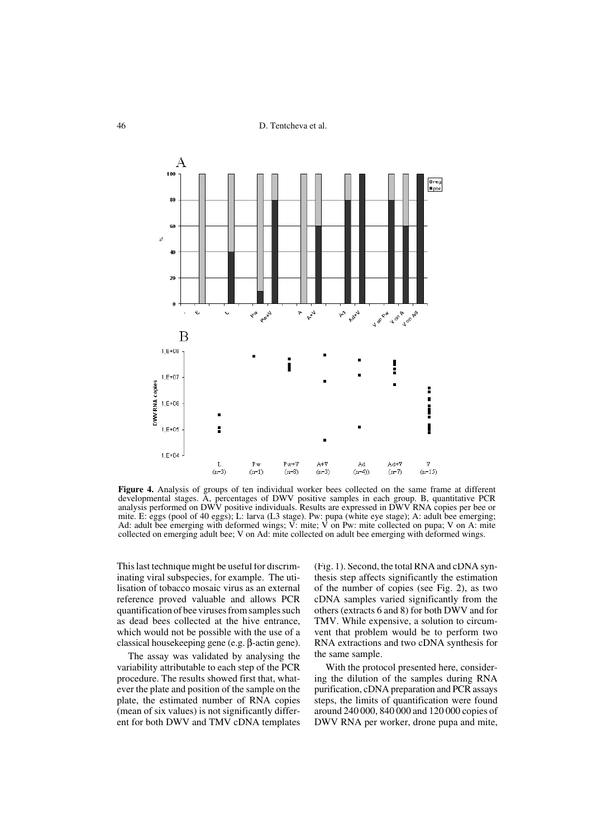46 D. Tentcheva et al.



**Figure 4.** Analysis of groups of ten individual worker bees collected on the same frame at different developmental stages. A, percentages of DWV positive samples in each group. B, quantitative PCR analysis performed on DWV positive individuals. Results are expressed in DWV RNA copies per bee or mite. E: eggs (pool of 40 eggs); L: larva (L3 stage). Pw: pupa (white eye stage); A: adult bee emerging; Ad: adult bee emerging with deformed wings; V: mite; V on Pw: mite collected on pupa; V on A: mite collected on emerging adult bee; V on Ad: mite collected on adult bee emerging with deformed wings.

This last technique might be useful for discriminating viral subspecies, for example. The utilisation of tobacco mosaic virus as an external reference proved valuable and allows PCR quantification of bee viruses from samples such as dead bees collected at the hive entrance, which would not be possible with the use of a classical housekeeping gene (e.g. β-actin gene).

The assay was validated by analysing the variability attributable to each step of the PCR procedure. The results showed first that, whatever the plate and position of the sample on the plate, the estimated number of RNA copies (mean of six values) is not significantly different for both DWV and TMV cDNA templates

(Fig. 1). Second, the total RNA and cDNA synthesis step affects significantly the estimation of the number of copies (see Fig. 2), as two cDNA samples varied significantly from the others (extracts 6 and 8) for both DWV and for TMV. While expensive, a solution to circumvent that problem would be to perform two RNA extractions and two cDNA synthesis for the same sample.

With the protocol presented here, considering the dilution of the samples during RNA purification, cDNA preparation and PCR assays steps, the limits of quantification were found around 240 000, 840 000 and 120 000 copies of DWV RNA per worker, drone pupa and mite,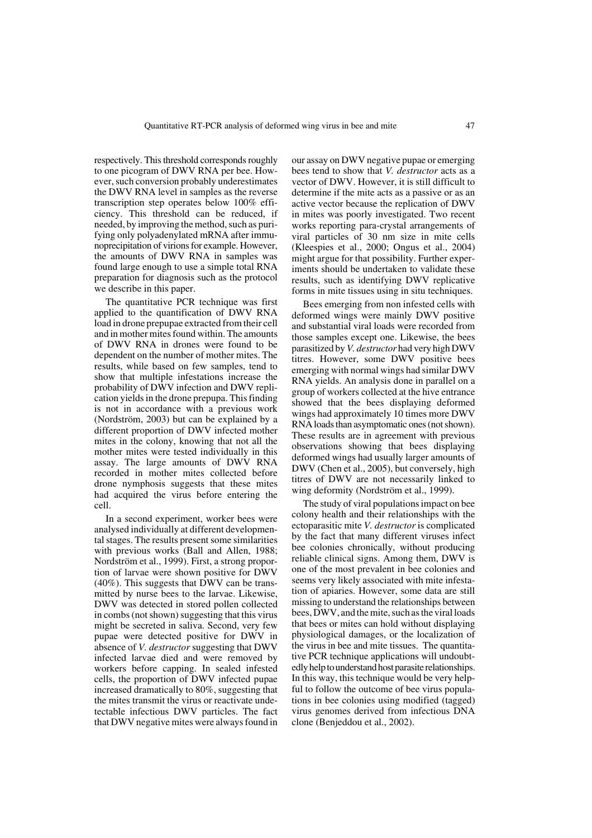respectively. This threshold corresponds roughly to one picogram of DWV RNA per bee. However, such conversion probably underestimates the DWV RNA level in samples as the reverse transcription step operates below 100% efficiency. This threshold can be reduced, if needed, by improving the method, such as purifying only polyadenylated mRNA after immunoprecipitation of virions for example. However, the amounts of DWV RNA in samples was found large enough to use a simple total RNA preparation for diagnosis such as the protocol we describe in this paper.

The quantitative PCR technique was first applied to the quantification of DWV RNA load in drone prepupae extracted from their cell and in mother mites found within. The amounts of DWV RNA in drones were found to be dependent on the number of mother mites. The results, while based on few samples, tend to show that multiple infestations increase the probability of DWV infection and DWV replication yields in the drone prepupa. This finding is not in accordance with a previous work (Nordström, 2003) but can be explained by a different proportion of DWV infected mother mites in the colony, knowing that not all the mother mites were tested individually in this assay. The large amounts of DWV RNA recorded in mother mites collected before drone nymphosis suggests that these mites had acquired the virus before entering the cell.

In a second experiment, worker bees were analysed individually at different developmental stages. The results present some similarities with previous works (Ball and Allen, 1988; Nordström et al., 1999). First, a strong proportion of larvae were shown positive for DWV (40%). This suggests that DWV can be transmitted by nurse bees to the larvae. Likewise, DWV was detected in stored pollen collected in combs (not shown) suggesting that this virus might be secreted in saliva. Second, very few pupae were detected positive for DWV in absence of *V. destructor* suggesting that DWV infected larvae died and were removed by workers before capping. In sealed infested cells, the proportion of DWV infected pupae increased dramatically to 80%, suggesting that the mites transmit the virus or reactivate undetectable infectious DWV particles. The fact that DWV negative mites were always found in

our assay on DWV negative pupae or emerging bees tend to show that *V. destructor* acts as a vector of DWV. However, it is still difficult to determine if the mite acts as a passive or as an active vector because the replication of DWV in mites was poorly investigated. Two recent works reporting para-crystal arrangements of viral particles of 30 nm size in mite cells (Kleespies et al., 2000; Ongus et al., 2004) might argue for that possibility. Further experiments should be undertaken to validate these results, such as identifying DWV replicative forms in mite tissues using in situ techniques.

Bees emerging from non infested cells with deformed wings were mainly DWV positive and substantial viral loads were recorded from those samples except one. Likewise, the bees parasitized by *V. destructor* had very high DWV titres. However, some DWV positive bees emerging with normal wings had similar DWV RNA yields. An analysis done in parallel on a group of workers collected at the hive entrance showed that the bees displaying deformed wings had approximately 10 times more DWV RNA loads than asymptomatic ones (not shown). These results are in agreement with previous observations showing that bees displaying deformed wings had usually larger amounts of DWV (Chen et al., 2005), but conversely, high titres of DWV are not necessarily linked to wing deformity (Nordström et al., 1999).

The study of viral populations impact on bee colony health and their relationships with the ectoparasitic mite *V. destructor* is complicated by the fact that many different viruses infect bee colonies chronically, without producing reliable clinical signs. Among them, DWV is one of the most prevalent in bee colonies and seems very likely associated with mite infestation of apiaries. However, some data are still missing to understand the relationships between bees, DWV, and the mite, such as the viral loads that bees or mites can hold without displaying physiological damages, or the localization of the virus in bee and mite tissues. The quantitative PCR technique applications will undoubtedly help to understand host parasite relationships. In this way, this technique would be very helpful to follow the outcome of bee virus populations in bee colonies using modified (tagged) virus genomes derived from infectious DNA clone (Benjeddou et al., 2002).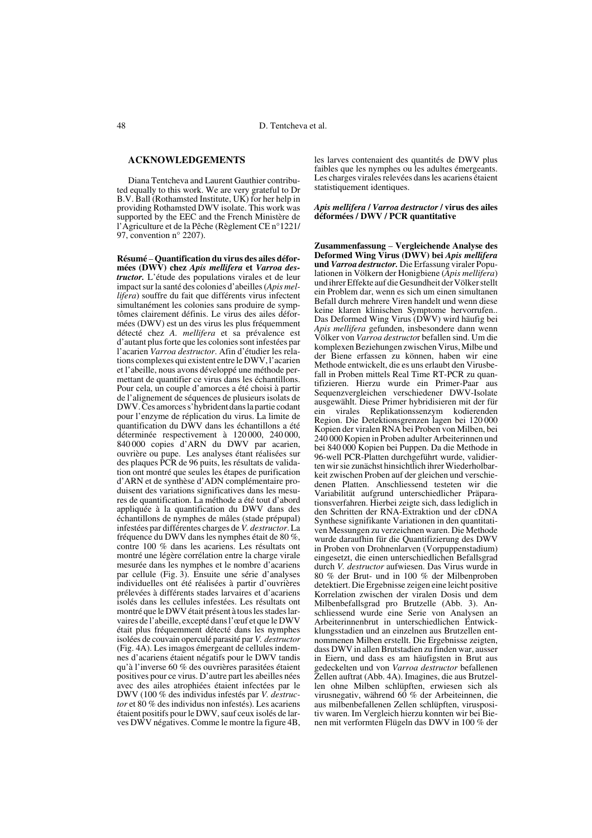## **ACKNOWLEDGEMENTS**

Diana Tentcheva and Laurent Gauthier contributed equally to this work. We are very grateful to Dr B.V. Ball (Rothamsted Institute, UK) for her help in providing Rothamsted DWV isolate. This work was supported by the EEC and the French Ministère de l'Agriculture et de la Pêche (Règlement CE n°1221/ 97, convention n° 2207).

**Résumé** – **Quantification du virus des ailes déformées (DWV) chez** *Apis mellifera* **et** *Varroa destructor.* L'étude des populations virales et de leur impact sur la santé des colonies d'abeilles (*Apis mellifera*) souffre du fait que différents virus infectent simultanément les colonies sans produire de symptômes clairement définis. Le virus des ailes déformées (DWV) est un des virus les plus fréquemment détecté chez *A. mellifera* et sa prévalence est d'autant plus forte que les colonies sont infestées par l'acarien *Varroa destructor*. Afin d'étudier les relations complexes qui existent entre le DWV, l'acarien et l'abeille, nous avons développé une méthode permettant de quantifier ce virus dans les échantillons. Pour cela, un couple d'amorces a été choisi à partir de l'alignement de séquences de plusieurs isolats de DWV. Ces amorces s'hybrident dans la partie codant pour l'enzyme de réplication du virus. La limite de quantification du DWV dans les échantillons a été déterminée respectivement à 120 000, 240 000, 840 000 copies d'ARN du DWV par acarien, ouvrière ou pupe. Les analyses étant réalisées sur des plaques PCR de 96 puits, les résultats de validation ont montré que seules les étapes de purification d'ARN et de synthèse d'ADN complémentaire produisent des variations significatives dans les mesures de quantification. La méthode a été tout d'abord appliquée à la quantification du DWV dans des échantillons de nymphes de mâles (stade prépupal) infestées par différentes charges de *V. destructor*. La fréquence du DWV dans les nymphes était de 80 %, contre 100 % dans les acariens. Les résultats ont montré une légère corrélation entre la charge virale mesurée dans les nymphes et le nombre d'acariens par cellule (Fig. 3). Ensuite une série d'analyses individuelles ont été réalisées à partir d'ouvrières prélevées à différents stades larvaires et d'acariens isolés dans les cellules infestées. Les résultats ont montré que le DWV était présent à tous les stades larvaires de l'abeille, excepté dans l'œuf et que le DWV était plus fréquemment détecté dans les nymphes isolées de couvain operculé parasité par *V. destructor* (Fig. 4A). Les imagos émergeant de cellules indemnes d'acariens étaient négatifs pour le DWV tandis qu'à l'inverse 60 % des ouvrières parasitées étaient positives pour ce virus. D'autre part les abeilles nées avec des ailes atrophiées étaient infectées par le DWV (100 % des individus infestés par *V. destructor* et 80 % des individus non infestés). Les acariens étaient positifs pour le DWV, sauf ceux isolés de larves DWV négatives. Comme le montre la figure 4B,

les larves contenaient des quantités de DWV plus faibles que les nymphes ou les adultes émergeants. Les charges virales relevées dans les acariens étaient statistiquement identiques.

#### *Apis mellifera* **/** *Varroa destructor* **/ virus des ailes déformées / DWV / PCR quantitative**

**Zusammenfassung** – **Vergleichende Analyse des Deformed Wing Virus (DWV) bei** *Apis mellifera* **und** *Varroa destructor.* Die Erfassung viraler Populationen in Völkern der Honigbiene (*Apis mellifera*) und ihrer Effekte auf die Gesundheit der Völker stellt ein Problem dar, wenn es sich um einen simultanen Befall durch mehrere Viren handelt und wenn diese keine klaren klinischen Symptome hervorrufen.. Das Deformed Wing Virus (DWV) wird häufig bei *Apis mellifera* gefunden, insbesondere dann wenn Völker von *Varroa destructo*r befallen sind. Um die komplexen Beziehungen zwischen Virus, Milbe und der Biene erfassen zu können, haben wir eine Methode entwickelt, die es uns erlaubt den Virusbefall in Proben mittels Real Time RT-PCR zu quantifizieren. Hierzu wurde ein Primer-Paar aus Sequenzvergleichen verschiedener DWV-Isolate ausgewählt. Diese Primer hybridisieren mit der für ein virales Replikationssenzym kodierenden Region. Die Detektionsgrenzen lagen bei 120 000 Kopien der viralen RNA bei Proben von Milben, bei 240 000 Kopien in Proben adulter Arbeiterinnen und bei 840 000 Kopien bei Puppen. Da die Methode in 96-well PCR-Platten durchgeführt wurde, validierten wir sie zunächst hinsichtlich ihrer Wiederholbarkeit zwischen Proben auf der gleichen und verschiedenen Platten. Anschliessend testeten wir die Variabilität aufgrund unterschiedlicher Präparationsverfahren. Hierbei zeigte sich, dass lediglich in den Schritten der RNA-Extraktion und der cDNA Synthese signifikante Variationen in den quantitativen Messungen zu verzeichnen waren. Die Methode wurde daraufhin für die Quantifizierung des DWV in Proben von Drohnenlarven (Vorpuppenstadium) eingesetzt, die einen unterschiedlichen Befallsgrad durch *V. destructor* aufwiesen. Das Virus wurde in 80 % der Brut- und in 100 % der Milbenproben detektiert. Die Ergebnisse zeigen eine leicht positive Korrelation zwischen der viralen Dosis und dem Milbenbefallsgrad pro Brutzelle (Abb. 3). Anschliessend wurde eine Serie von Analysen an Arbeiterinnenbrut in unterschiedlichen Entwickklungsstadien und an einzelnen aus Brutzellen entnommenen Milben erstellt. Die Ergebnisse zeigten, dass DWV in allen Brutstadien zu finden war, ausser in Eiern, und dass es am häufigsten in Brut aus gedeckelten und von *Varroa destructor* befallenen Zellen auftrat (Abb. 4A). Imagines, die aus Brutzellen ohne Milben schlüpften, erwiesen sich als virusnegativ, während 60 % der Arbeiteinnen, die aus milbenbefallenen Zellen schlüpften, viruspositiv waren. Im Vergleich hierzu konnten wir bei Bienen mit verformten Flügeln das DWV in 100 % der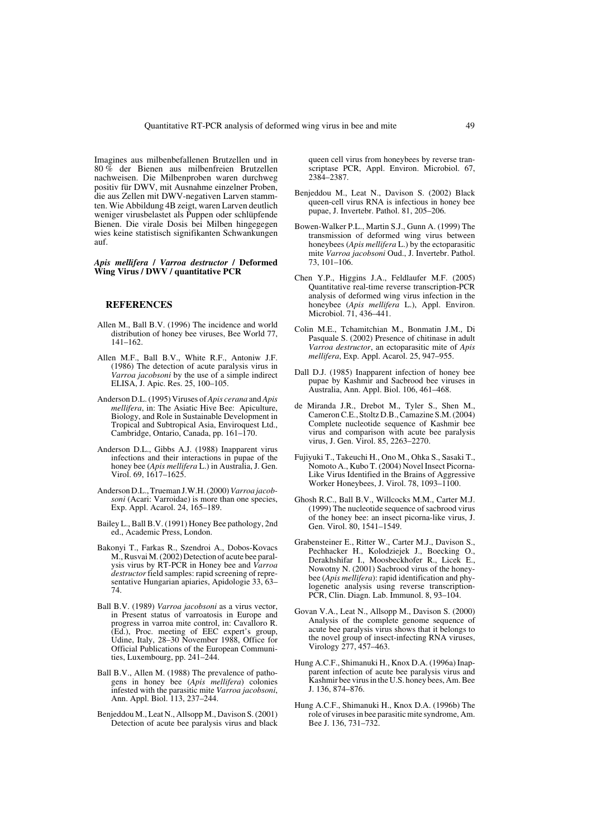Imagines aus milbenbefallenen Brutzellen und in 80 % der Bienen aus milbenfreien Brutzellen nachweisen. Die Milbenproben waren durchweg positiv für DWV, mit Ausnahme einzelner Proben, die aus Zellen mit DWV-negativen Larven stammten. Wie Abbildung 4B zeigt, waren Larven deutlich weniger virusbelastet als Puppen oder schlüpfende Bienen. Die virale Dosis bei Milben hingegegen wies keine statistisch signifikanten Schwankungen auf.

#### *Apis mellifera* **/** *Varroa destructor* **/ Deformed Wing Virus / DWV / quantitative PCR**

# **REFERENCES**

- Allen M., Ball B.V. (1996) The incidence and world distribution of honey bee viruses, Bee World 77, 141–162.
- Allen M.F., Ball B.V., White R.F., Antoniw J.F. (1986) The detection of acute paralysis virus in *Varroa jacobsoni* by the use of a simple indirect ELISA, J. Apic. Res. 25, 100–105.
- Anderson D.L. (1995) Viruses of *Apis cerana* and *Apis mellifera*, in: The Asiatic Hive Bee: Apiculture, Biology, and Role in Sustainable Development in Tropical and Subtropical Asia, Enviroquest Ltd., Cambridge, Ontario, Canada, pp. 161–170.
- Anderson D.L., Gibbs A.J. (1988) Inapparent virus infections and their interactions in pupae of the honey bee (*Apis mellifera* L.) in Australia, J. Gen. Virol. 69, 1617–1625.
- Anderson D.L., Trueman J.W.H. (2000) *Varroa jacobsoni* (Acari: Varroidae) is more than one species, Exp. Appl. Acarol. 24, 165–189.
- Bailey L., Ball B.V. (1991) Honey Bee pathology, 2nd ed., Academic Press, London.
- Bakonyi T., Farkas R., Szendroi A., Dobos-Kovacs M., Rusvai M. (2002) Detection of acute bee paralysis virus by RT-PCR in Honey bee and *Varroa destructor* field samples: rapid screening of representative Hungarian apiaries, Apidologie 33, 63– 74.
- Ball B.V. (1989) *Varroa jacobsoni* as a virus vector, in Present status of varroatosis in Europe and progress in varroa mite control, in: Cavalloro R. (Ed.), Proc. meeting of EEC expert's group, Udine, Italy, 28–30 November 1988, Office for Official Publications of the European Communities, Luxembourg, pp. 241–244.
- Ball B.V., Allen M. (1988) The prevalence of pathogens in honey bee (*Apis mellifera*) colonies infested with the parasitic mite *Varroa jacobsoni*, Ann. Appl. Biol. 113, 237–244.
- Benjeddou M., Leat N., Allsopp M., Davison S. (2001) Detection of acute bee paralysis virus and black

queen cell virus from honeybees by reverse transcriptase PCR, Appl. Environ. Microbiol. 67, 2384–2387.

- Benjeddou M., Leat N., Davison S. (2002) Black queen-cell virus RNA is infectious in honey bee pupae, J. Invertebr. Pathol. 81, 205–206.
- Bowen-Walker P.L., Martin S.J., Gunn A. (1999) The transmission of deformed wing virus between honeybees (*Apis mellifera* L.) by the ectoparasitic mite *Varroa jacobsoni* Oud., J. Invertebr. Pathol. 73, 101–106.
- Chen Y.P., Higgins J.A., Feldlaufer M.F. (2005) Quantitative real-time reverse transcription-PCR analysis of deformed wing virus infection in the honeybee (*Apis mellifera* L.), Appl. Environ. Microbiol. 71, 436–441.
- Colin M.E., Tchamitchian M., Bonmatin J.M., Di Pasquale S. (2002) Presence of chitinase in adult *Varroa destructor*, an ectoparasitic mite of *Apis mellifera*, Exp. Appl. Acarol. 25, 947–955.
- Dall D.J. (1985) Inapparent infection of honey bee pupae by Kashmir and Sacbrood bee viruses in Australia, Ann. Appl. Biol. 106, 461–468.
- de Miranda J.R., Drebot M., Tyler S., Shen M., Cameron C.E., Stoltz D.B., Camazine S.M. (2004) Complete nucleotide sequence of Kashmir bee virus and comparison with acute bee paralysis virus, J. Gen. Virol. 85, 2263–2270.
- Fujiyuki T., Takeuchi H., Ono M., Ohka S., Sasaki T., Nomoto A., Kubo T. (2004) Novel Insect Picorna-Like Virus Identified in the Brains of Aggressive Worker Honeybees, J. Virol. 78, 1093–1100.
- Ghosh R.C., Ball B.V., Willcocks M.M., Carter M.J. (1999) The nucleotide sequence of sacbrood virus of the honey bee: an insect picorna-like virus, J. Gen. Virol. 80, 1541–1549.
- Grabensteiner E., Ritter W., Carter M.J., Davison S., Pechhacker H., Kolodziejek J., Boecking O., Derakhshifar I., Moosbeckhofer R., Licek E., Nowotny N. (2001) Sacbrood virus of the honeybee (*Apis mellifera*): rapid identification and phylogenetic analysis using reverse transcription-PCR, Clin. Diagn. Lab. Immunol. 8, 93–104.
- Govan V.A., Leat N., Allsopp M., Davison S. (2000) Analysis of the complete genome sequence of acute bee paralysis virus shows that it belongs to the novel group of insect-infecting RNA viruses, Virology 277, 457–463.
- Hung A.C.F., Shimanuki H., Knox D.A. (1996a) Inapparent infection of acute bee paralysis virus and Kashmir bee virus in the U.S. honey bees, Am. Bee J. 136, 874–876.
- Hung A.C.F., Shimanuki H., Knox D.A. (1996b) The role of viruses in bee parasitic mite syndrome, Am. Bee J. 136, 731–732.